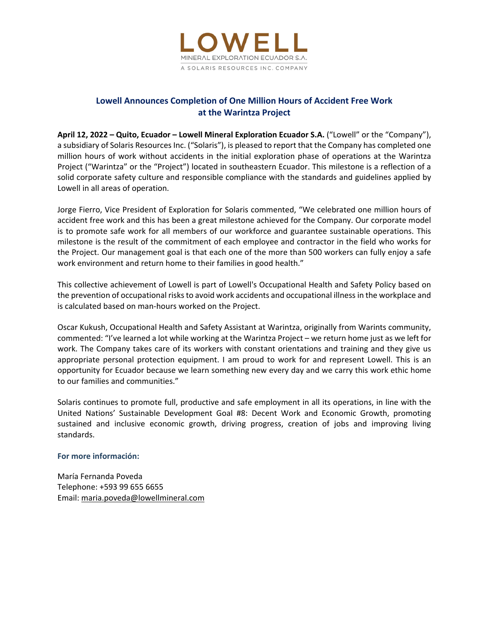

# **Lowell Announces Completion of One Million Hours of Accident Free Work at the Warintza Project**

**April 12, 2022 – Quito, Ecuador – Lowell Mineral Exploration Ecuador S.A.** ("Lowell" or the "Company"), a subsidiary of Solaris Resources Inc. ("Solaris"), is pleased to report that the Company has completed one million hours of work without accidents in the initial exploration phase of operations at the Warintza Project ("Warintza" or the "Project") located in southeastern Ecuador. This milestone is a reflection of a solid corporate safety culture and responsible compliance with the standards and guidelines applied by Lowell in all areas of operation.

Jorge Fierro, Vice President of Exploration for Solaris commented, "We celebrated one million hours of accident free work and this has been a great milestone achieved for the Company. Our corporate model is to promote safe work for all members of our workforce and guarantee sustainable operations. This milestone is the result of the commitment of each employee and contractor in the field who works for the Project. Our management goal is that each one of the more than 500 workers can fully enjoy a safe work environment and return home to their families in good health."

This collective achievement of Lowell is part of Lowell's Occupational Health and Safety Policy based on the prevention of occupational risks to avoid work accidents and occupational illness in the workplace and is calculated based on man‐hours worked on the Project.

Oscar Kukush, Occupational Health and Safety Assistant at Warintza, originally from Warints community, commented: "I've learned a lot while working at the Warintza Project – we return home just as we left for work. The Company takes care of its workers with constant orientations and training and they give us appropriate personal protection equipment. I am proud to work for and represent Lowell. This is an opportunity for Ecuador because we learn something new every day and we carry this work ethic home to our families and communities."

Solaris continues to promote full, productive and safe employment in all its operations, in line with the United Nations' Sustainable Development Goal #8: Decent Work and Economic Growth, promoting sustained and inclusive economic growth, driving progress, creation of jobs and improving living standards.

## **For more información:**

María Fernanda Poveda Telephone: +593 99 655 6655 Email: maria.poveda@lowellmineral.com